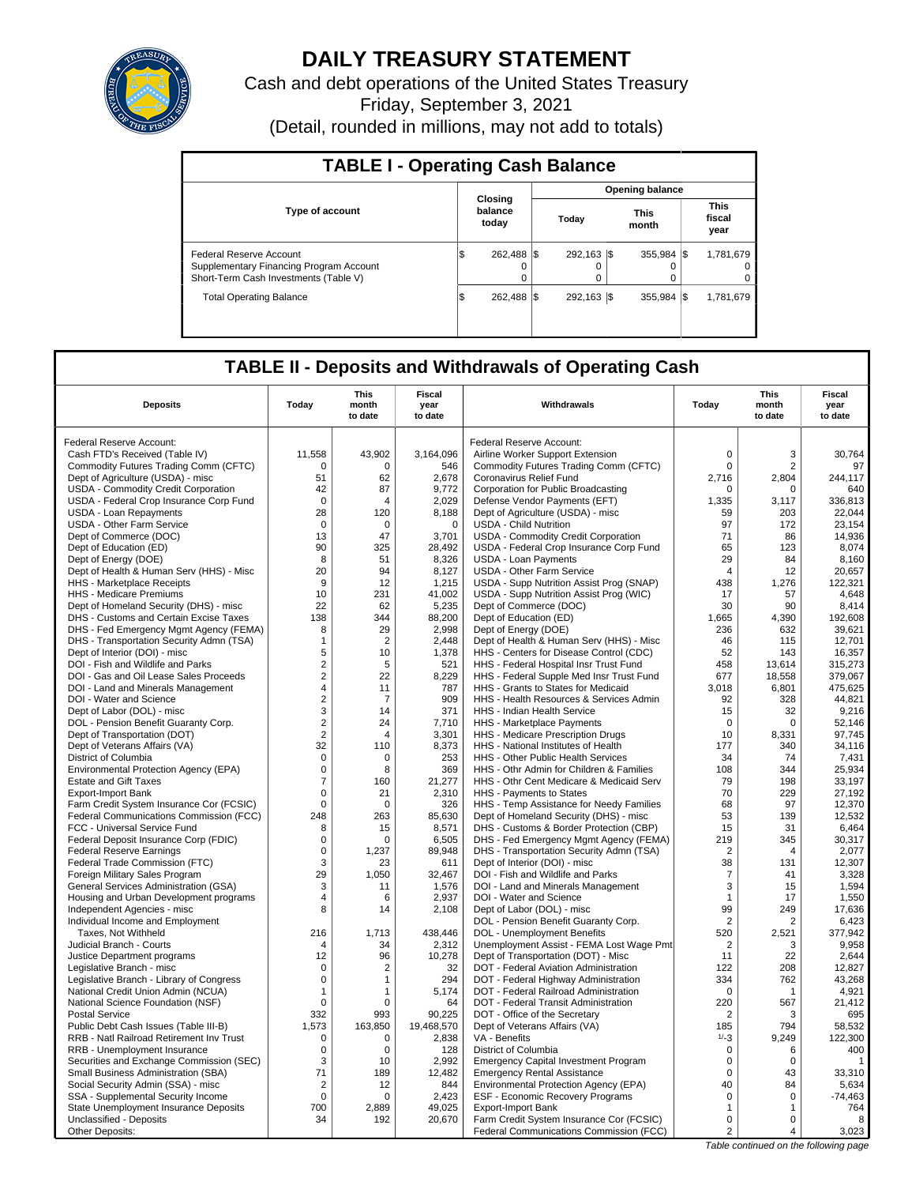

# **DAILY TREASURY STATEMENT**

Cash and debt operations of the United States Treasury Friday, September 3, 2021 (Detail, rounded in millions, may not add to totals)

| <b>TABLE I - Operating Cash Balance</b>                                                                     |  |                             |                 |                               |  |                               |  |                            |  |  |
|-------------------------------------------------------------------------------------------------------------|--|-----------------------------|-----------------|-------------------------------|--|-------------------------------|--|----------------------------|--|--|
|                                                                                                             |  |                             | Opening balance |                               |  |                               |  |                            |  |  |
| <b>Type of account</b>                                                                                      |  | Closing<br>balance<br>today |                 | <b>This</b><br>Today<br>month |  | <b>This</b><br>fiscal<br>year |  |                            |  |  |
| Federal Reserve Account<br>Supplementary Financing Program Account<br>Short-Term Cash Investments (Table V) |  | 262.488 \\$                 |                 | 292.163 \\$<br>$\Omega$       |  | $355.984$ $\frac{1}{3}$       |  | 1,781,679<br>$\Omega$<br>0 |  |  |
| <b>Total Operating Balance</b>                                                                              |  | 262.488 \\$                 |                 | 292.163 \\$                   |  | $355.984$ $\frac{1}{3}$       |  | 1,781,679                  |  |  |

## **TABLE II - Deposits and Withdrawals of Operating Cash**

| <b>Deposits</b>                          | Today          | <b>This</b><br>month | <b>Fiscal</b><br>year | Withdrawals                                 | Today          | <b>This</b><br>month | <b>Fiscal</b><br>year |
|------------------------------------------|----------------|----------------------|-----------------------|---------------------------------------------|----------------|----------------------|-----------------------|
|                                          |                | to date              | to date               |                                             |                | to date              | to date               |
| Federal Reserve Account:                 |                |                      |                       | <b>Federal Reserve Account:</b>             |                |                      |                       |
| Cash FTD's Received (Table IV)           | 11,558         | 43,902               | 3,164,096             | Airline Worker Support Extension            | $\mathsf 0$    | 3                    | 30,764                |
| Commodity Futures Trading Comm (CFTC)    | $\Omega$       | $\Omega$             | 546                   | Commodity Futures Trading Comm (CFTC)       | $\mathbf 0$    | 2                    | 97                    |
| Dept of Agriculture (USDA) - misc        | 51             | 62                   | 2,678                 | Coronavirus Relief Fund                     | 2,716          | 2,804                | 244,117               |
| USDA - Commodity Credit Corporation      | 42             | 87                   | 9,772                 | Corporation for Public Broadcasting         | $\Omega$       | $\Omega$             | 640                   |
| USDA - Federal Crop Insurance Corp Fund  | $\mathbf 0$    | 4                    | 2,029                 | Defense Vendor Payments (EFT)               | 1,335          | 3,117                | 336,813               |
| <b>USDA - Loan Repayments</b>            | 28             | 120                  | 8,188                 | Dept of Agriculture (USDA) - misc           | 59             | 203                  | 22,044                |
| <b>USDA - Other Farm Service</b>         | $\overline{0}$ | $\mathbf 0$          | $\mathbf 0$           | <b>USDA - Child Nutrition</b>               | 97             | 172                  | 23,154                |
| Dept of Commerce (DOC)                   | 13             | 47                   | 3,701                 | USDA - Commodity Credit Corporation         | 71             | 86                   | 14.936                |
| Dept of Education (ED)                   | 90             | 325                  | 28,492                | USDA - Federal Crop Insurance Corp Fund     | 65             | 123                  | 8,074                 |
| Dept of Energy (DOE)                     | 8              | 51                   | 8,326                 | <b>USDA - Loan Payments</b>                 | 29             | 84                   | 8,160                 |
| Dept of Health & Human Serv (HHS) - Misc | 20             | 94                   | 8,127                 | <b>USDA - Other Farm Service</b>            | $\overline{4}$ | 12                   | 20,657                |
| <b>HHS</b> - Marketplace Receipts        | 9              | 12                   | 1,215                 | USDA - Supp Nutrition Assist Prog (SNAP)    | 438            | 1,276                | 122,321               |
| HHS - Medicare Premiums                  | 10             | 231                  | 41,002                | USDA - Supp Nutrition Assist Prog (WIC)     | 17             | 57                   | 4,648                 |
| Dept of Homeland Security (DHS) - misc   | 22             | 62                   | 5,235                 | Dept of Commerce (DOC)                      | 30             | 90                   | 8,414                 |
| DHS - Customs and Certain Excise Taxes   | 138            | 344                  | 88,200                | Dept of Education (ED)                      | 1,665          | 4,390                | 192,608               |
| DHS - Fed Emergency Mgmt Agency (FEMA)   | 8              | 29                   | 2,998                 | Dept of Energy (DOE)                        | 236            | 632                  | 39,621                |
| DHS - Transportation Security Admn (TSA) | $\mathbf{1}$   | $\overline{2}$       | 2.448                 | Dept of Health & Human Serv (HHS) - Misc    | 46             | 115                  | 12.701                |
| Dept of Interior (DOI) - misc            | 5              | 10                   | 1,378                 | HHS - Centers for Disease Control (CDC)     | 52             | 143                  | 16,357                |
| DOI - Fish and Wildlife and Parks        | $\sqrt{2}$     | 5                    | 521                   | HHS - Federal Hospital Insr Trust Fund      | 458            | 13.614               | 315,273               |
| DOI - Gas and Oil Lease Sales Proceeds   | $\sqrt{2}$     | 22                   | 8,229                 | HHS - Federal Supple Med Insr Trust Fund    | 677            | 18,558               | 379,067               |
| DOI - Land and Minerals Management       | 4              | 11                   | 787                   | HHS - Grants to States for Medicaid         | 3,018          | 6,801                | 475,625               |
| DOI - Water and Science                  | $\overline{2}$ | $\overline{7}$       | 909                   | HHS - Health Resources & Services Admin     | 92             | 328                  | 44,821                |
| Dept of Labor (DOL) - misc               | 3              | 14                   | 371                   | <b>HHS - Indian Health Service</b>          | 15             | 32                   | 9,216                 |
| DOL - Pension Benefit Guaranty Corp.     | $\overline{2}$ | 24                   | 7,710                 | HHS - Marketplace Payments                  | $\mathbf 0$    | $\mathbf 0$          | 52,146                |
| Dept of Transportation (DOT)             | $\overline{2}$ | 4                    | 3,301                 | HHS - Medicare Prescription Drugs           | 10             | 8,331                | 97,745                |
| Dept of Veterans Affairs (VA)            | 32             | 110                  | 8,373                 | HHS - National Institutes of Health         | 177            | 340                  | 34,116                |
| District of Columbia                     | $\mathbf 0$    | 0                    | 253                   | HHS - Other Public Health Services          | 34             | 74                   | 7,431                 |
| Environmental Protection Agency (EPA)    | $\mathbf 0$    | 8                    | 369                   | HHS - Othr Admin for Children & Families    | 108            | 344                  | 25,934                |
| <b>Estate and Gift Taxes</b>             | $\overline{7}$ | 160                  | 21,277                | HHS - Othr Cent Medicare & Medicaid Serv    | 79             | 198                  | 33,197                |
| <b>Export-Import Bank</b>                | $\mathbf 0$    | 21                   | 2,310                 | HHS - Payments to States                    | 70             | 229                  | 27,192                |
| Farm Credit System Insurance Cor (FCSIC) | $\mathbf 0$    | $\Omega$             | 326                   | HHS - Temp Assistance for Needy Families    | 68             | 97                   | 12,370                |
| Federal Communications Commission (FCC)  | 248            | 263                  | 85,630                | Dept of Homeland Security (DHS) - misc      | 53             | 139                  | 12,532                |
| FCC - Universal Service Fund             | 8              | 15                   | 8,571                 | DHS - Customs & Border Protection (CBP)     | 15             | 31                   | 6,464                 |
| Federal Deposit Insurance Corp (FDIC)    | $\mathbf 0$    | 0                    | 6,505                 | DHS - Fed Emergency Mgmt Agency (FEMA)      | 219            | 345                  | 30,317                |
| <b>Federal Reserve Earnings</b>          | $\mathbf 0$    | 1.237                | 89,948                | DHS - Transportation Security Admn (TSA)    | $\overline{2}$ | $\overline{4}$       | 2.077                 |
| Federal Trade Commission (FTC)           | 3              | 23                   | 611                   | Dept of Interior (DOI) - misc               | 38             | 131                  | 12,307                |
| Foreign Military Sales Program           | 29             | 1,050                | 32,467                | DOI - Fish and Wildlife and Parks           | $\overline{7}$ | 41                   | 3,328                 |
| General Services Administration (GSA)    | 3              | 11                   | 1,576                 | DOI - Land and Minerals Management          | 3              | 15                   | 1,594                 |
| Housing and Urban Development programs   | 4              | 6                    | 2,937                 | DOI - Water and Science                     | $\mathbf{1}$   | 17                   | 1,550                 |
| Independent Agencies - misc              | 8              | 14                   | 2,108                 | Dept of Labor (DOL) - misc                  | 99             | 249                  | 17,636                |
| Individual Income and Employment         |                |                      |                       | DOL - Pension Benefit Guaranty Corp.        | $\overline{2}$ | 2                    | 6,423                 |
| Taxes, Not Withheld                      | 216            | 1.713                | 438,446               | DOL - Unemployment Benefits                 | 520            | 2,521                | 377,942               |
| Judicial Branch - Courts                 | $\overline{4}$ | 34                   | 2,312                 | Unemployment Assist - FEMA Lost Wage Pmt    | 2              | 3                    | 9,958                 |
| Justice Department programs              | 12             | 96                   | 10,278                | Dept of Transportation (DOT) - Misc         | 11             | 22                   | 2,644                 |
| Legislative Branch - misc                | $\mathbf 0$    | $\overline{2}$       | 32                    | DOT - Federal Aviation Administration       | 122            | 208                  | 12,827                |
| Legislative Branch - Library of Congress | $\mathbf 0$    | 1                    | 294                   | DOT - Federal Highway Administration        | 334            | 762                  | 43,268                |
| National Credit Union Admin (NCUA)       | $\mathbf{1}$   | 1                    | 5,174                 | DOT - Federal Railroad Administration       | $\mathbf 0$    | -1                   | 4,921                 |
| National Science Foundation (NSF)        | $\mathbf 0$    | 0                    | 64                    | DOT - Federal Transit Administration        | 220            | 567                  | 21,412                |
| <b>Postal Service</b>                    | 332            | 993                  | 90,225                | DOT - Office of the Secretary               | $\overline{2}$ | 3                    | 695                   |
| Public Debt Cash Issues (Table III-B)    | 1,573          | 163,850              | 19,468,570            | Dept of Veterans Affairs (VA)               | 185            | 794                  | 58,532                |
| RRB - Natl Railroad Retirement Inv Trust | 0              | $\mathbf 0$          | 2,838                 | VA - Benefits                               | $1/ - 3$       | 9.249                | 122,300               |
| RRB - Unemployment Insurance             | $\mathbf 0$    | $\mathbf 0$          | 128                   | District of Columbia                        | 0              | 6                    | 400                   |
| Securities and Exchange Commission (SEC) | 3              | 10                   | 2.992                 | <b>Emergency Capital Investment Program</b> | $\mathbf 0$    | $\Omega$             | -1                    |
| Small Business Administration (SBA)      | 71             | 189                  | 12,482                | <b>Emergency Rental Assistance</b>          | $\mathbf 0$    | 43                   | 33,310                |
| Social Security Admin (SSA) - misc       | 2              | 12                   | 844                   | Environmental Protection Agency (EPA)       | 40             | 84                   | 5.634                 |
| SSA - Supplemental Security Income       | $\mathbf 0$    | $\mathbf 0$          | 2,423                 | ESF - Economic Recovery Programs            | $\mathsf 0$    | $\mathbf 0$          | $-74,463$             |
| State Unemployment Insurance Deposits    | 700            | 2,889                | 49,025                | Export-Import Bank                          | $\mathbf{1}$   | 1                    | 764                   |
| Unclassified - Deposits                  | 34             | 192                  | 20,670                | Farm Credit System Insurance Cor (FCSIC)    | $\mathbf 0$    | 0                    | 8                     |
| Other Deposits:                          |                |                      |                       | Federal Communications Commission (FCC)     | $\overline{c}$ | 4                    | 3,023                 |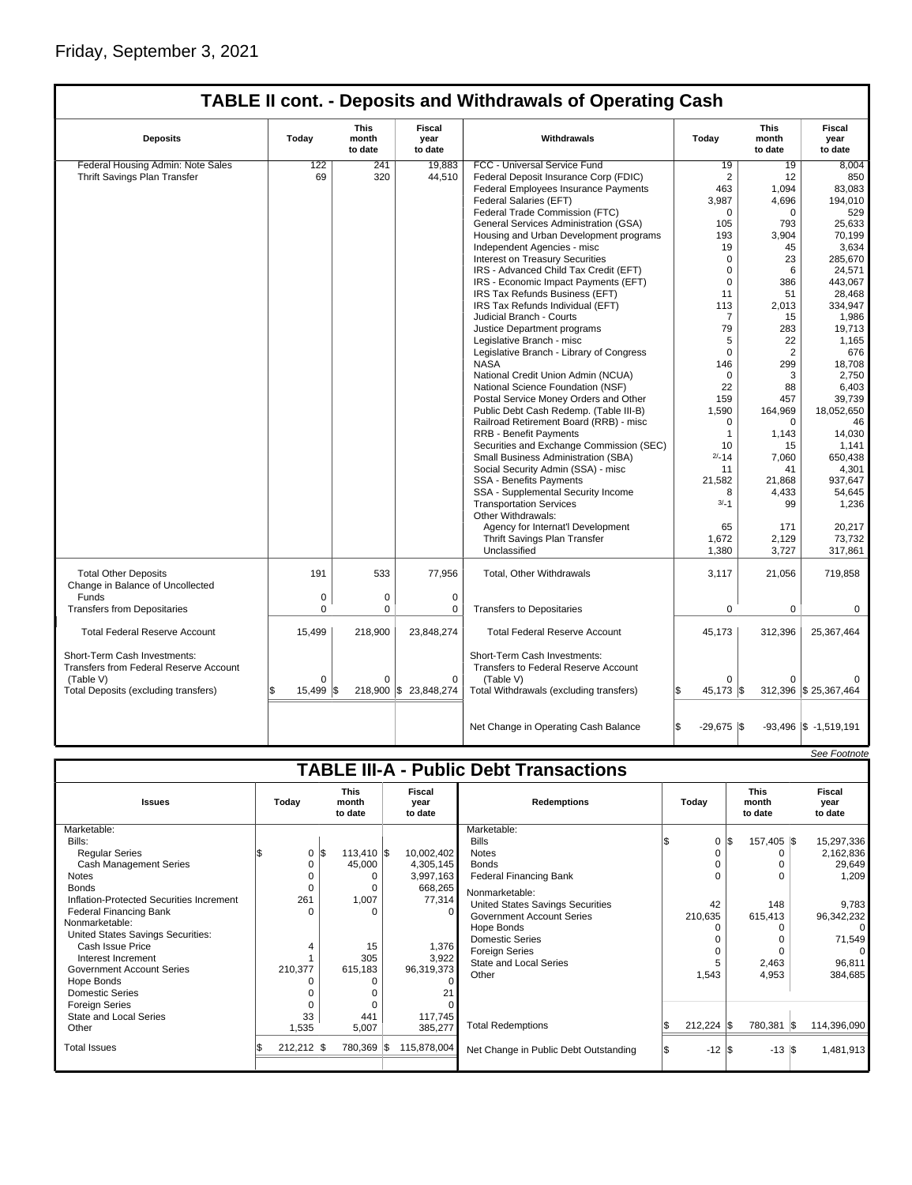| <b>TABLE II cont. - Deposits and Withdrawals of Operating Cash</b>     |                |                          |                           |                                                                             |                    |                          |                                   |  |  |
|------------------------------------------------------------------------|----------------|--------------------------|---------------------------|-----------------------------------------------------------------------------|--------------------|--------------------------|-----------------------------------|--|--|
| <b>Deposits</b>                                                        | Today          | This<br>month<br>to date | Fiscal<br>year<br>to date | <b>Withdrawals</b>                                                          | Today              | This<br>month<br>to date | <b>Fiscal</b><br>year<br>to date  |  |  |
| Federal Housing Admin: Note Sales                                      | 122            | 241                      | 19,883                    | FCC - Universal Service Fund                                                | 19                 | 19                       | 8,004                             |  |  |
| Thrift Savings Plan Transfer                                           | 69             | 320                      | 44,510                    | Federal Deposit Insurance Corp (FDIC)                                       | $\overline{2}$     | 12                       | 850                               |  |  |
|                                                                        |                |                          |                           | Federal Employees Insurance Payments                                        | 463                | 1,094                    | 83,083                            |  |  |
|                                                                        |                |                          |                           | Federal Salaries (EFT)                                                      | 3,987              | 4,696                    | 194,010                           |  |  |
|                                                                        |                |                          |                           | Federal Trade Commission (FTC)                                              | $\Omega$           | $\Omega$                 | 529                               |  |  |
|                                                                        |                |                          |                           | General Services Administration (GSA)                                       | 105                | 793                      | 25,633                            |  |  |
|                                                                        |                |                          |                           | Housing and Urban Development programs                                      | 193                | 3,904                    | 70,199                            |  |  |
|                                                                        |                |                          |                           | Independent Agencies - misc                                                 | 19                 | 45                       | 3,634                             |  |  |
|                                                                        |                |                          |                           | <b>Interest on Treasury Securities</b>                                      | $\mathbf 0$        | 23                       | 285,670                           |  |  |
|                                                                        |                |                          |                           | IRS - Advanced Child Tax Credit (EFT)                                       | $\mathbf 0$        | 6                        | 24,571                            |  |  |
|                                                                        |                |                          |                           | IRS - Economic Impact Payments (EFT)                                        | $\mathbf 0$        | 386                      | 443,067                           |  |  |
|                                                                        |                |                          |                           | IRS Tax Refunds Business (EFT)                                              | 11                 | 51                       | 28,468                            |  |  |
|                                                                        |                |                          |                           | IRS Tax Refunds Individual (EFT)                                            | 113                | 2,013                    | 334,947                           |  |  |
|                                                                        |                |                          |                           | Judicial Branch - Courts                                                    | $\overline{7}$     |                          |                                   |  |  |
|                                                                        |                |                          |                           | Justice Department programs                                                 | 79                 | 15<br>283                | 1,986<br>19,713                   |  |  |
|                                                                        |                |                          |                           |                                                                             | 5                  | 22                       | 1,165                             |  |  |
|                                                                        |                |                          |                           | Legislative Branch - misc                                                   | $\mathbf 0$        | 2                        | 676                               |  |  |
|                                                                        |                |                          |                           | Legislative Branch - Library of Congress<br><b>NASA</b>                     |                    |                          |                                   |  |  |
|                                                                        |                |                          |                           |                                                                             | 146                | 299                      | 18,708                            |  |  |
|                                                                        |                |                          |                           | National Credit Union Admin (NCUA)                                          | $\Omega$           | 3                        | 2,750                             |  |  |
|                                                                        |                |                          |                           | National Science Foundation (NSF)                                           | 22                 | 88                       | 6,403                             |  |  |
|                                                                        |                |                          |                           | Postal Service Money Orders and Other                                       | 159                | 457                      | 39,739                            |  |  |
|                                                                        |                |                          |                           | Public Debt Cash Redemp. (Table III-B)                                      | 1,590              | 164,969                  | 18,052,650                        |  |  |
|                                                                        |                |                          |                           | Railroad Retirement Board (RRB) - misc                                      | $\mathbf 0$        | $\Omega$                 | 46                                |  |  |
|                                                                        |                |                          |                           | RRB - Benefit Payments                                                      | $\overline{1}$     | 1,143                    | 14,030                            |  |  |
|                                                                        |                |                          |                           | Securities and Exchange Commission (SEC)                                    | 10                 | 15                       | 1,141                             |  |  |
|                                                                        |                |                          |                           | Small Business Administration (SBA)                                         | $2/-14$            | 7,060                    | 650.438                           |  |  |
|                                                                        |                |                          |                           | Social Security Admin (SSA) - misc                                          | 11                 | 41                       | 4,301                             |  |  |
|                                                                        |                |                          |                           | <b>SSA - Benefits Payments</b>                                              | 21,582             | 21,868                   | 937,647                           |  |  |
|                                                                        |                |                          |                           | SSA - Supplemental Security Income                                          | 8                  | 4,433                    | 54,645                            |  |  |
|                                                                        |                |                          |                           | <b>Transportation Services</b><br>Other Withdrawals:                        | $3/-1$             | 99                       | 1,236                             |  |  |
|                                                                        |                |                          |                           | Agency for Internat'l Development                                           | 65                 | 171                      | 20,217                            |  |  |
|                                                                        |                |                          |                           | Thrift Savings Plan Transfer                                                | 1,672              | 2,129                    | 73,732                            |  |  |
|                                                                        |                |                          |                           | Unclassified                                                                | 1,380              | 3,727                    | 317,861                           |  |  |
| <b>Total Other Deposits</b><br>Change in Balance of Uncollected        | 191            | 533                      | 77,956                    | Total, Other Withdrawals                                                    | 3,117              | 21,056                   | 719,858                           |  |  |
| Funds                                                                  | 0              | $\mathbf 0$              | 0                         |                                                                             |                    |                          |                                   |  |  |
| <b>Transfers from Depositaries</b>                                     | 0              | 0                        | 0                         | <b>Transfers to Depositaries</b>                                            | 0                  | 0                        | 0                                 |  |  |
|                                                                        |                |                          |                           |                                                                             |                    |                          |                                   |  |  |
| <b>Total Federal Reserve Account</b>                                   | 15,499         | 218,900                  | 23,848,274                | <b>Total Federal Reserve Account</b>                                        | 45,173             | 312,396                  | 25,367,464                        |  |  |
| Short-Term Cash Investments:<br>Transfers from Federal Reserve Account |                |                          |                           | Short-Term Cash Investments:<br><b>Transfers to Federal Reserve Account</b> |                    |                          |                                   |  |  |
| (Table V)                                                              | $\Omega$       | $\Omega$                 | 0                         | (Table V)                                                                   | $\Omega$           |                          |                                   |  |  |
| Total Deposits (excluding transfers)                                   | 15,499 \$<br>S |                          | 218,900 \$ 23,848,274     | Total Withdrawals (excluding transfers)                                     | 45,173 \$<br>S     |                          | 312,396 \$25,367,464              |  |  |
|                                                                        |                |                          |                           | Net Change in Operating Cash Balance                                        | \$<br>$-29,675$ \$ |                          | $-93,496$ $\vert$ \$ $-1,519,191$ |  |  |

|                                                                                                                                                                                                                                                                                                                    |                               |                                               |  |                                                              |                                                                                                                                                                                            |  |                               |  |                                 |     | See Footnote              |
|--------------------------------------------------------------------------------------------------------------------------------------------------------------------------------------------------------------------------------------------------------------------------------------------------------------------|-------------------------------|-----------------------------------------------|--|--------------------------------------------------------------|--------------------------------------------------------------------------------------------------------------------------------------------------------------------------------------------|--|-------------------------------|--|---------------------------------|-----|---------------------------|
| <b>TABLE III-A - Public Debt Transactions</b>                                                                                                                                                                                                                                                                      |                               |                                               |  |                                                              |                                                                                                                                                                                            |  |                               |  |                                 |     |                           |
| <b>Issues</b>                                                                                                                                                                                                                                                                                                      | Today                         | <b>This</b><br>month<br>to date               |  | Fiscal<br>year<br>to date                                    | <b>Redemptions</b>                                                                                                                                                                         |  | Todav                         |  | <b>This</b><br>month<br>to date |     | Fiscal<br>year<br>to date |
| Marketable:                                                                                                                                                                                                                                                                                                        |                               |                                               |  |                                                              | Marketable:                                                                                                                                                                                |  |                               |  |                                 |     |                           |
| Bills:                                                                                                                                                                                                                                                                                                             |                               |                                               |  |                                                              | <b>Bills</b>                                                                                                                                                                               |  | $\mathbf 0$                   |  | 157,405 \$                      |     | 15,297,336                |
| <b>Regular Series</b>                                                                                                                                                                                                                                                                                              | 0                             | $113,410$ \\$<br>I\$                          |  | 10,002,402                                                   | <b>Notes</b>                                                                                                                                                                               |  |                               |  | 0                               |     | 2,162,836                 |
| <b>Cash Management Series</b>                                                                                                                                                                                                                                                                                      |                               | 45,000                                        |  | 4,305,145                                                    | <b>Bonds</b>                                                                                                                                                                               |  | 0                             |  | O                               |     | 29,649                    |
| <b>Notes</b>                                                                                                                                                                                                                                                                                                       |                               | O                                             |  | 3,997,163                                                    | <b>Federal Financing Bank</b>                                                                                                                                                              |  | $\Omega$                      |  | $\Omega$                        |     | 1,209                     |
| <b>Bonds</b>                                                                                                                                                                                                                                                                                                       |                               | $\Omega$                                      |  | 668,265                                                      |                                                                                                                                                                                            |  |                               |  |                                 |     |                           |
|                                                                                                                                                                                                                                                                                                                    |                               |                                               |  |                                                              |                                                                                                                                                                                            |  |                               |  |                                 |     | 9,783                     |
|                                                                                                                                                                                                                                                                                                                    | O                             | O                                             |  | $\Omega$                                                     |                                                                                                                                                                                            |  |                               |  |                                 |     | 96,342,232                |
|                                                                                                                                                                                                                                                                                                                    |                               |                                               |  |                                                              |                                                                                                                                                                                            |  |                               |  | 0                               |     |                           |
|                                                                                                                                                                                                                                                                                                                    |                               |                                               |  |                                                              |                                                                                                                                                                                            |  |                               |  | 0                               |     | 71,549                    |
|                                                                                                                                                                                                                                                                                                                    |                               |                                               |  |                                                              |                                                                                                                                                                                            |  | 0                             |  | O                               |     | 0                         |
|                                                                                                                                                                                                                                                                                                                    |                               |                                               |  |                                                              | <b>State and Local Series</b>                                                                                                                                                              |  |                               |  | 2,463                           |     | 96,811                    |
|                                                                                                                                                                                                                                                                                                                    |                               |                                               |  |                                                              | Other                                                                                                                                                                                      |  | 1,543                         |  | 4,953                           |     | 384,685                   |
|                                                                                                                                                                                                                                                                                                                    |                               |                                               |  |                                                              |                                                                                                                                                                                            |  |                               |  |                                 |     |                           |
|                                                                                                                                                                                                                                                                                                                    |                               |                                               |  |                                                              |                                                                                                                                                                                            |  |                               |  |                                 |     |                           |
|                                                                                                                                                                                                                                                                                                                    |                               |                                               |  |                                                              |                                                                                                                                                                                            |  |                               |  |                                 |     |                           |
|                                                                                                                                                                                                                                                                                                                    |                               |                                               |  |                                                              |                                                                                                                                                                                            |  |                               |  |                                 |     | 114,396,090               |
|                                                                                                                                                                                                                                                                                                                    |                               |                                               |  |                                                              |                                                                                                                                                                                            |  |                               |  |                                 |     |                           |
| <b>Total Issues</b>                                                                                                                                                                                                                                                                                                | $212,212$ \$                  | 780,369 \$                                    |  | 115,878,004                                                  | Net Change in Public Debt Outstanding                                                                                                                                                      |  | $-12$ \$                      |  | $-13$ $\sqrt{3}$                |     | 1,481,913                 |
| Inflation-Protected Securities Increment<br><b>Federal Financing Bank</b><br>Nonmarketable:<br>United States Savings Securities:<br>Cash Issue Price<br>Interest Increment<br><b>Government Account Series</b><br>Hope Bonds<br>Domestic Series<br><b>Foreign Series</b><br><b>State and Local Series</b><br>Other | 261<br>210,377<br>33<br>1,535 | 1,007<br>15<br>305<br>615,183<br>441<br>5,007 |  | 77,314<br>1,376<br>3,922<br>96,319,373<br>117,745<br>385,277 | Nonmarketable:<br><b>United States Savings Securities</b><br><b>Government Account Series</b><br>Hope Bonds<br><b>Domestic Series</b><br><b>Foreign Series</b><br><b>Total Redemptions</b> |  | 42<br>210,635<br>$212,224$ \$ |  | 148<br>615,413<br>780,381       | 1\$ |                           |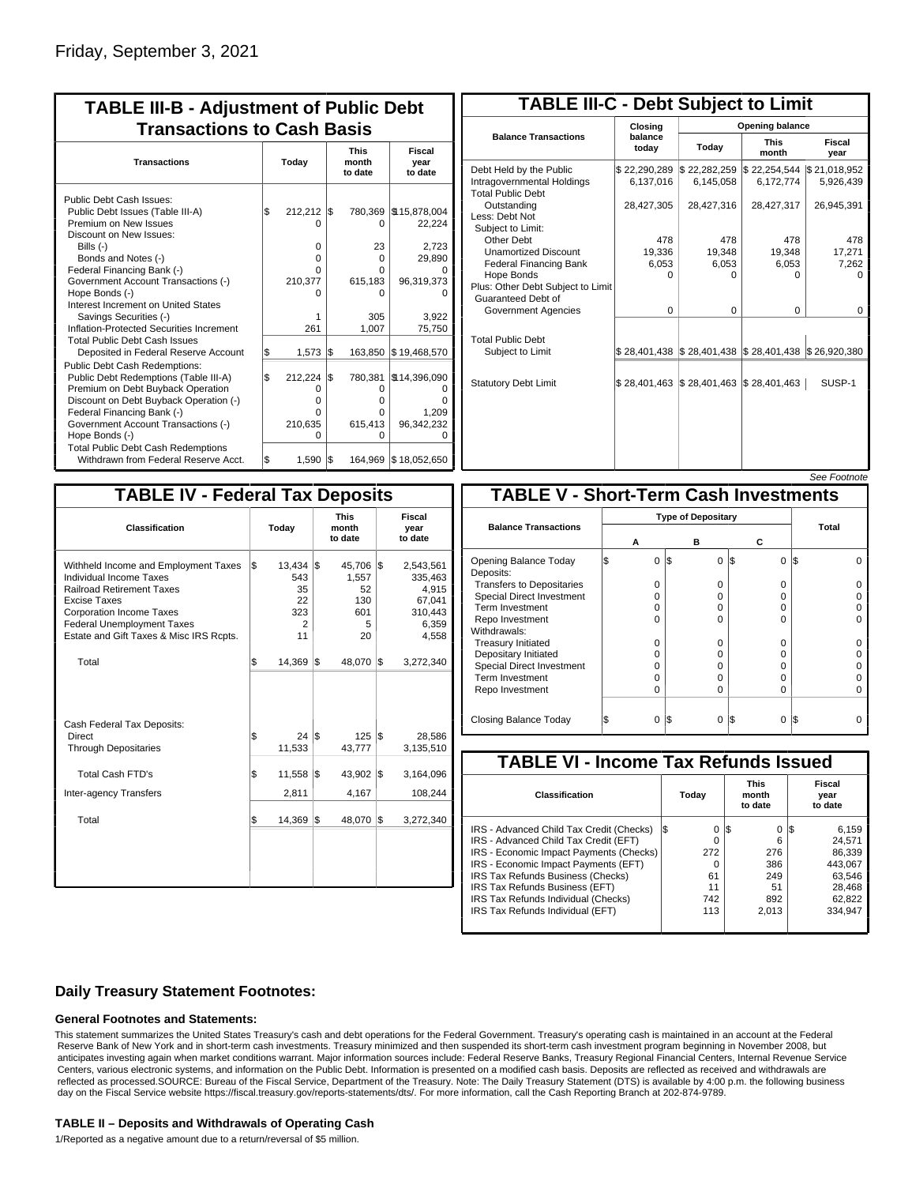| <b>TABLE III-B - Adjustment of Public Debt</b><br><b>Transactions to Cash Basis</b> |                                                                  |            |                                                              |                                                                            |  |  |  |  |                                 |                           |
|-------------------------------------------------------------------------------------|------------------------------------------------------------------|------------|--------------------------------------------------------------|----------------------------------------------------------------------------|--|--|--|--|---------------------------------|---------------------------|
| Today                                                                               |                                                                  |            |                                                              |                                                                            |  |  |  |  | <b>This</b><br>month<br>to date | Fiscal<br>year<br>to date |
| l\$                                                                                 | 212.212<br>O<br>$\Omega$<br>$\Omega$<br>O<br>210,377<br>O<br>261 |            | 780,369<br>0<br>23<br>0<br>O<br>615,183<br>0<br>305<br>1,007 | \$15,878,004<br>22,224<br>2,723<br>29,890<br>96,319,373<br>3,922<br>75,750 |  |  |  |  |                                 |                           |
| \$<br>l\$                                                                           | 1,573<br>212,224<br>O<br>0<br>O<br>210,635<br>O                  | Ι\$<br>l\$ | 163,850<br>780,381<br>0<br>O<br>O<br>615,413<br>O            | \$19,468,570<br>\$14,396,090<br>1,209<br>96,342,232<br>\$18,052,650        |  |  |  |  |                                 |                           |
|                                                                                     | \$                                                               | 1,590      | I\$<br>S.                                                    | 164,969                                                                    |  |  |  |  |                                 |                           |

| <b>TABLE III-C - Debt Subject to Limit</b>                                        |                             |                                                           |                           |                           |  |  |  |  |  |
|-----------------------------------------------------------------------------------|-----------------------------|-----------------------------------------------------------|---------------------------|---------------------------|--|--|--|--|--|
|                                                                                   | Closing                     |                                                           | Opening balance           |                           |  |  |  |  |  |
| <b>Balance Transactions</b>                                                       | balance<br>todav            | Today                                                     | <b>This</b><br>month      | Fiscal<br>year            |  |  |  |  |  |
| Debt Held by the Public<br>Intragovernmental Holdings<br><b>Total Public Debt</b> | \$22,290,289<br>6,137,016   | \$22,282,259<br>6,145,058                                 | \$22,254,544<br>6,172,774 | \$21,018,952<br>5,926,439 |  |  |  |  |  |
| Outstanding<br>Less: Debt Not<br>Subject to Limit:                                | 28,427,305                  | 28,427,316                                                | 28,427,317                | 26,945,391                |  |  |  |  |  |
| Other Debt                                                                        | 478                         | 478                                                       | 478                       | 478                       |  |  |  |  |  |
| <b>Unamortized Discount</b>                                                       | 19,336                      | 19,348                                                    | 19,348                    | 17,271                    |  |  |  |  |  |
| <b>Federal Financing Bank</b>                                                     | 6,053                       | 6,053                                                     | 6,053                     | 7,262                     |  |  |  |  |  |
| Hope Bonds                                                                        | n                           | n                                                         | n                         | n                         |  |  |  |  |  |
| Plus: Other Debt Subject to Limit<br>Guaranteed Debt of                           |                             |                                                           |                           |                           |  |  |  |  |  |
| Government Agencies                                                               | $\Omega$                    | 0                                                         | 0                         | 0                         |  |  |  |  |  |
| <b>Total Public Debt</b>                                                          |                             |                                                           |                           |                           |  |  |  |  |  |
| Subject to Limit                                                                  |                             | \$28,401,438   \$28,401,438   \$28,401,438   \$26,920,380 |                           |                           |  |  |  |  |  |
| <b>Statutory Debt Limit</b>                                                       | $$28,401,463$ $$28,401,463$ |                                                           | \$28,401,463              | SUSP-1                    |  |  |  |  |  |
|                                                                                   |                             |                                                           |                           |                           |  |  |  |  |  |

See Footnote

| <b>TABLE IV - Federal Tax Deposits</b>                                                                                                                                                                                                 |    |                                                  |                                 |                                                |     |                                                                      |  |  |  |
|----------------------------------------------------------------------------------------------------------------------------------------------------------------------------------------------------------------------------------------|----|--------------------------------------------------|---------------------------------|------------------------------------------------|-----|----------------------------------------------------------------------|--|--|--|
| Classification                                                                                                                                                                                                                         |    | Today                                            | <b>This</b><br>month<br>to date |                                                |     | Fiscal<br>year<br>to date                                            |  |  |  |
| Withheld Income and Employment Taxes<br>Individual Income Taxes<br><b>Railroad Retirement Taxes</b><br>Excise Taxes<br><b>Corporation Income Taxes</b><br><b>Federal Unemployment Taxes</b><br>Estate and Gift Taxes & Misc IRS Rcpts. | \$ | $13,434$ \$<br>543<br>35<br>22<br>323<br>2<br>11 |                                 | 45,706<br>1,557<br>52<br>130<br>601<br>5<br>20 | l\$ | 2,543,561<br>335,463<br>4,915<br>67,041<br>310,443<br>6,359<br>4,558 |  |  |  |
| Total                                                                                                                                                                                                                                  | \$ | 14,369                                           | 1\$                             | 48,070                                         | 1\$ | 3,272,340                                                            |  |  |  |
| Cash Federal Tax Deposits:<br>Direct<br><b>Through Depositaries</b>                                                                                                                                                                    | \$ | 24<br>11,533                                     | l\$                             | 125<br>43,777                                  | l\$ | 28,586<br>3,135,510                                                  |  |  |  |
| <b>Total Cash FTD's</b>                                                                                                                                                                                                                | \$ | 11,558                                           | l\$                             | 43,902                                         | l\$ | 3,164,096                                                            |  |  |  |
| Inter-agency Transfers                                                                                                                                                                                                                 |    | 2,811                                            |                                 | 4,167                                          |     | 108,244                                                              |  |  |  |
| Total                                                                                                                                                                                                                                  | \$ | 14,369                                           | $\sqrt{3}$                      | 48,070                                         | 1\$ | 3,272,340                                                            |  |  |  |
|                                                                                                                                                                                                                                        |    |                                                  |                                 |                                                |     |                                                                      |  |  |  |

|                                              |  |          |     |                           |          | <i>See Footnote</i> |  |  |  |
|----------------------------------------------|--|----------|-----|---------------------------|----------|---------------------|--|--|--|
| <b>TABLE V - Short-Term Cash Investments</b> |  |          |     |                           |          |                     |  |  |  |
|                                              |  |          |     | <b>Type of Depositary</b> |          |                     |  |  |  |
| <b>Balance Transactions</b>                  |  | А        |     | в                         | c        | Total               |  |  |  |
| Opening Balance Today<br>Deposits:           |  | $\Omega$ | 1\$ | $\Omega$                  | 0<br>I\$ | I\$                 |  |  |  |
| <b>Transfers to Depositaries</b>             |  | O        |     | 0                         | 0        |                     |  |  |  |
| <b>Special Direct Investment</b>             |  | U        |     | 0                         | O        |                     |  |  |  |
| <b>Term Investment</b>                       |  | O        |     | 0                         | 0        |                     |  |  |  |
| Repo Investment                              |  | O        |     | $\Omega$                  | 0        |                     |  |  |  |
| Withdrawals:                                 |  |          |     |                           |          |                     |  |  |  |
| <b>Treasury Initiated</b>                    |  | O        |     | $\Omega$                  | 0        |                     |  |  |  |
| Depositary Initiated                         |  | O        |     | $\Omega$                  | O        |                     |  |  |  |
| <b>Special Direct Investment</b>             |  | O        |     | 0                         | 0        |                     |  |  |  |
| <b>Term Investment</b>                       |  | O        |     | 0                         | 0        |                     |  |  |  |
| Repo Investment                              |  | O        |     | $\Omega$                  | O        |                     |  |  |  |
| Closing Balance Today                        |  | 0        | I\$ | $\Omega$                  | I\$<br>0 | I\$                 |  |  |  |

| <b>TABLE VI - Income Tax Refunds Issued</b> |         |                                 |                           |  |  |  |  |  |  |  |
|---------------------------------------------|---------|---------------------------------|---------------------------|--|--|--|--|--|--|--|
| <b>Classification</b>                       | Today   | <b>This</b><br>month<br>to date | Fiscal<br>year<br>to date |  |  |  |  |  |  |  |
| IRS - Advanced Child Tax Credit (Checks)    | 0<br>13 | 1\$<br>0                        | 6,159<br>13               |  |  |  |  |  |  |  |
| IRS - Advanced Child Tax Credit (EFT)       | 0       | 6                               | 24.571                    |  |  |  |  |  |  |  |
| IRS - Economic Impact Payments (Checks)     | 272     | 276                             | 86,339                    |  |  |  |  |  |  |  |
| IRS - Economic Impact Payments (EFT)        | 0       | 386                             | 443.067                   |  |  |  |  |  |  |  |
| IRS Tax Refunds Business (Checks)           | 61      | 249                             | 63.546                    |  |  |  |  |  |  |  |
| IRS Tax Refunds Business (EFT)              | 11      | 51                              | 28,468                    |  |  |  |  |  |  |  |
| IRS Tax Refunds Individual (Checks)         | 742     | 892                             | 62,822                    |  |  |  |  |  |  |  |
| IRS Tax Refunds Individual (EFT)            | 113     | 2.013                           | 334.947                   |  |  |  |  |  |  |  |

### **Daily Treasury Statement Footnotes:**

#### **General Footnotes and Statements:**

This statement summarizes the United States Treasury's cash and debt operations for the Federal Government. Treasury's operating cash is maintained in an account at the Federal Reserve Bank of New York and in short-term cash investments. Treasury minimized and then suspended its short-term cash investment program beginning in November 2008, but anticipates investing again when market conditions warrant. Major information sources include: Federal Reserve Banks, Treasury Regional Financial Centers, Internal Revenue Service Centers, various electronic systems, and information on the Public Debt. Information is presented on a modified cash basis. Deposits are reflected as received and withdrawals are reflected as processed.SOURCE: Bureau of the Fiscal Service, Department of the Treasury. Note: The Daily Treasury Statement (DTS) is available by 4:00 p.m. the following business day on the Fiscal Service website https://fiscal.treasury.gov/reports-statements/dts/. For more information, call the Cash Reporting Branch at 202-874-9789.

#### **TABLE II – Deposits and Withdrawals of Operating Cash**

1/Reported as a negative amount due to a return/reversal of \$5 million.